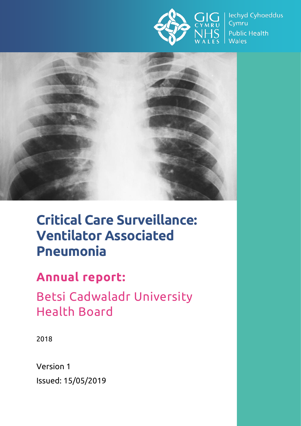

lechyd Cyhoeddus Cymru **Public Health Wales** 



# **Critical Care Surveillance: Ventilator Associated Pneumonia**

# **Annual report:**

Betsi Cadwaladr University Health Board

2018

Version 1 Issued: 15/05/2019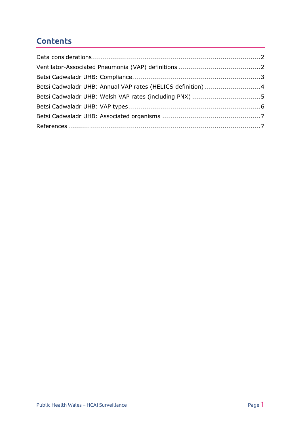## **Contents**

| Betsi Cadwaladr UHB: Annual VAP rates (HELICS definition)4 |  |
|------------------------------------------------------------|--|
|                                                            |  |
|                                                            |  |
|                                                            |  |
|                                                            |  |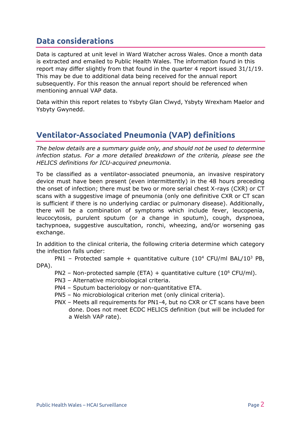#### <span id="page-2-0"></span>**Data considerations**

Data is captured at unit level in Ward Watcher across Wales. Once a month data is extracted and emailed to Public Health Wales. The information found in this report may differ slightly from that found in the quarter 4 report issued 31/1/19. This may be due to additional data being received for the annual report subsequently. For this reason the annual report should be referenced when mentioning annual VAP data.

Data within this report relates to Ysbyty Glan Clwyd, Ysbyty Wrexham Maelor and Ysbyty Gwynedd.

## <span id="page-2-1"></span>**Ventilator-Associated Pneumonia (VAP) definitions**

*The below details are a summary guide only, and should not be used to determine infection status. For a more detailed breakdown of the criteria, please see the HELICS definitions for ICU-acquired pneumonia.*

To be classified as a ventilator-associated pneumonia, an invasive respiratory device must have been present (even intermittently) in the 48 hours preceding the onset of infection; there must be two or more serial chest X-rays (CXR) or CT scans with a suggestive image of pneumonia (only one definitive CXR or CT scan is sufficient if there is no underlying cardiac or pulmonary disease). Additionally, there will be a combination of symptoms which include fever, leucopenia, leucocytosis, purulent sputum (or a change in sputum), cough, dyspnoea, tachypnoea, suggestive auscultation, ronchi, wheezing, and/or worsening gas exchange.

In addition to the clinical criteria, the following criteria determine which category the infection falls under:

PN1 – Protected sample + quantitative culture  $(10^4 \text{ CFU/ml BAL}/10^3 \text{ PB}$ , DPA).

- PN2 Non-protected sample (ETA) + quantitative culture (10 $^6$  CFU/ml).
- PN3 Alternative microbiological criteria.
- PN4 Sputum bacteriology or non-quantitative ETA.
- PN5 No microbiological criterion met (only clinical criteria).
- PNX Meets all requirements for PN1-4, but no CXR or CT scans have been done. Does not meet ECDC HELICS definition (but will be included for a Welsh VAP rate).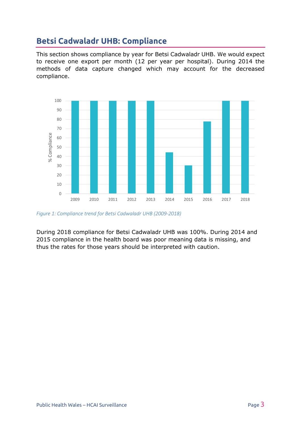# <span id="page-3-0"></span>**Betsi Cadwaladr UHB: Compliance**

This section shows compliance by year for Betsi Cadwaladr UHB. We would expect to receive one export per month (12 per year per hospital). During 2014 the methods of data capture changed which may account for the decreased compliance.



*Figure 1: Compliance trend for Betsi Cadwaladr UHB (2009-2018)*

During 2018 compliance for Betsi Cadwaladr UHB was 100%. During 2014 and 2015 compliance in the health board was poor meaning data is missing, and thus the rates for those years should be interpreted with caution.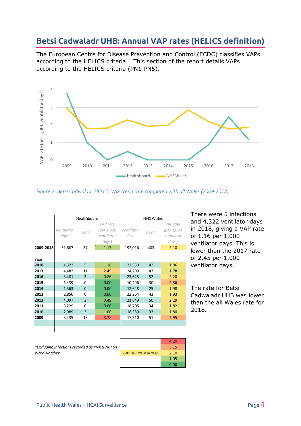#### <span id="page-4-0"></span>**Betsi Cadwaladr UHB: Annual VAP rates (HELICS definition)**

The European Centre for Disease Prevention and Control (ECDC) classifies VAPs according to the HELICS criteria. $1$  This section of the report details VAPs according to the HELICS criteria (PN1-PN5).



*Figure 2: Betsi Cadwaladr HELICS VAP trend rate compared with all Wales (2009-2018)*

|           | Healthboard                  |                |                                                       | <b>NHS Wales</b>              |               |                                                       |
|-----------|------------------------------|----------------|-------------------------------------------------------|-------------------------------|---------------|-------------------------------------------------------|
| 2009-2018 | Ventilator<br>days<br>31,687 | $VAP*$<br>37   | VAP rate<br>(per 1,000<br>ventilator<br>days)<br>1.17 | Ventilator<br>days<br>192,016 | $VAP*$<br>403 | VAP rate<br>(per 1,000<br>ventilator<br>days)<br>2.10 |
| Year      |                              |                |                                                       |                               |               |                                                       |
| 2018      | 4,322                        | 5              | 1.16                                                  | 22,530                        | 42            | 1.86                                                  |
| 2017      | 4,482                        | 11             | 2.45                                                  | 24,209                        | 43            | 1.78                                                  |
| 2016      | 3,481                        | 3              | 0.86                                                  | 23,625                        | 52            | 2.20                                                  |
| 2015      | 1,439                        | 0              | 0.00                                                  | 10,496                        | 30            | 2.86                                                  |
| 2014      | 1,363                        | $\Omega$       | 0.00                                                  | 12,648                        | 25            | 1.98                                                  |
| 2013      | 2,850                        | $\Omega$       | 0.00                                                  | 22,264                        | 43            | 1.93                                                  |
| 2012      | 4,097                        | $\overline{2}$ | 0.49                                                  | 21,849                        | 50            | 2.29                                                  |
| 2011      | 3,229                        | $\Omega$       | 0.00                                                  | 18,705                        | 34            | 1.82                                                  |
| 2010      | 2,989                        | 3              | 1.00                                                  | 18,380                        | 33            | 1.80                                                  |
| 2009      | 3,435                        | 13             | 3.78                                                  | 17,310                        | 51            | 2.95                                                  |
|           |                              |                |                                                       |                               |               |                                                       |
|           |                              |                |                                                       |                               |               |                                                       |

There were 5 infections and 4,322 ventilator days in 2018, giving a VAP rate of 1.16 per 1,000 ventilator days. This is lower than the 2017 rate of 2.45 per 1,000 ventilator days.

The rate for Betsi Cadwaladr UHB was lower than the all Wales rate for 2018.

*\*Excluding infections recorded as PNX (PN0) on WardWatcher.*

|                         | 4.20 |
|-------------------------|------|
|                         | 3.15 |
| 2009-2018 Welsh average | 2.10 |
|                         | 1.05 |
|                         | 0.00 |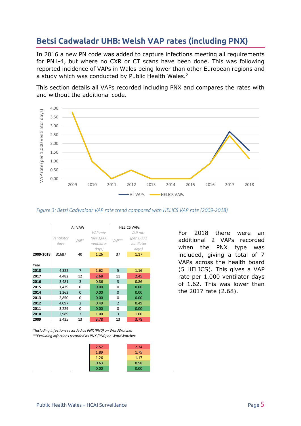# <span id="page-5-0"></span>**Betsi Cadwaladr UHB: Welsh VAP rates (including PNX)**

In 2016 a new PN code was added to capture infections meeting all requirements for PN1-4, but where no CXR or CT scans have been done. This was following reported incidence of VAPs in Wales being lower than other European regions and a study which was conducted by Public Health Wales.<sup>2</sup>

This section details all VAPs recorded including PNX and compares the rates with and without the additional code.



*Figure 3: Betsi Cadwaladr VAP rate trend compared with HELICS VAP rate (2009-2018)*

|           | All VAPs           |                |                                               | <b>HELICS VAPS</b> |                                               |  |
|-----------|--------------------|----------------|-----------------------------------------------|--------------------|-----------------------------------------------|--|
|           | Ventilator<br>days | $VAP*$         | VAP rate<br>(per 1,000<br>ventilator<br>days) | $VAP**$            | VAP rate<br>(per 1,000<br>ventilator<br>days) |  |
| 2009-2018 | 31687              | 40             | 1.26                                          | 37                 | 1.17                                          |  |
| Year      |                    |                |                                               |                    |                                               |  |
| 2018      | 4,322              | $\overline{7}$ | 1.62                                          | 5                  | 1.16                                          |  |
| 2017      | 4,482              | 12             | 2.68                                          | 11                 | 2.45                                          |  |
| 2016      | 3,481              | 3              | 0.86                                          | 3                  | 0.86                                          |  |
| 2015      | 1,439              | $\Omega$       | 0.00                                          | $\Omega$           | 0.00                                          |  |
| 2014      | 1,363              | $\mathbf 0$    | 0.00                                          | $\overline{0}$     | 0.00                                          |  |
| 2013      | 2,850              | 0              | 0.00                                          | $\Omega$           | 0.00                                          |  |
| 2012      | 4,097              | $\overline{2}$ | 0.49                                          | $\overline{2}$     | 0.49                                          |  |
| 2011      | 3,229              | 0              | 0.00                                          | $\Omega$           | 0.00                                          |  |
| 2010      | 2,989              | 3              | 1.00                                          | 3                  | 1.00                                          |  |
| 2009      | 3,435              | 13             | 3.78                                          | 13                 | 3.78                                          |  |

*\*\*Excluding infections recorded as PNX (PN0) on WardWatcher. \*Including infections recorded as PNX (PN0) on WardWatcher.*

| 2.52 | 2.34 |
|------|------|
| 1.89 | 1.75 |
| 1.26 | 1.17 |
| 0.63 | 0.58 |
| 0.00 | 0.00 |

For 2018 there were an additional 2 VAPs recorded when the PNX type was included, giving a total of 7 VAPs across the health board (5 HELICS). This gives a VAP rate per 1,000 ventilator days of 1.62. This was lower than the 2017 rate (2.68).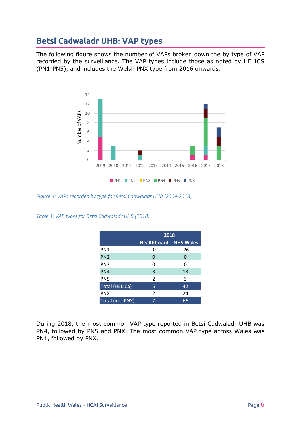# <span id="page-6-0"></span>**Betsi Cadwaladr UHB: VAP types**

The following figure shows the number of VAPs broken down the by type of VAP recorded by the surveillance. The VAP types include those as noted by HELICS (PN1-PN5), and includes the Welsh PNX type from 2016 onwards.



*Figure 4: VAPs recorded by type for Betsi Cadwaladr UHB (2009-2018)*

*Table 1: VAP types for Betsi Cadwaladr UHB (2018)*

|                       | 2018               |                  |  |  |
|-----------------------|--------------------|------------------|--|--|
|                       | <b>Healthboard</b> | <b>NHS Wales</b> |  |  |
| PN1                   | O                  | 26               |  |  |
| PN <sub>2</sub>       | 0                  | 0                |  |  |
| PN <sub>3</sub>       | 0                  | O                |  |  |
| PN4                   | 3                  | 13               |  |  |
| PN <sub>5</sub>       | $\overline{2}$     | 3                |  |  |
| <b>Total (HELICS)</b> | 5                  | 42               |  |  |
| <b>PNX</b>            | 2                  | 24               |  |  |
| Total (inc. PNX)      | 7                  | 66               |  |  |

During 2018, the most common VAP type reported in Betsi Cadwaladr UHB was PN4, followed by PN5 and PNX. The most common VAP type across Wales was PN1, followed by PNX.